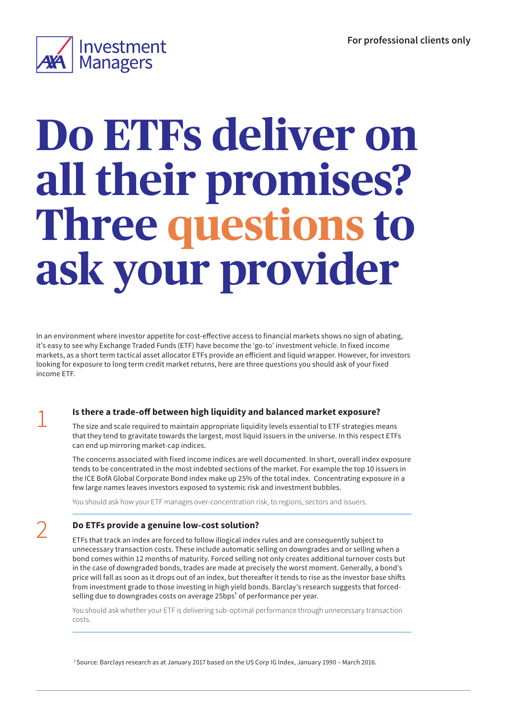

# **Do ETFs deliver on all their promises? Three questions to ask your provider**

In an environment where investor appetite for cost-effective access to financial markets shows no sign of abating, it's easy to see why Exchange Traded Funds (ETF) have become the 'go-to' investment vehicle. In fixed income markets, as a short term tactical asset allocator ETFs provide an efficient and liquid wrapper. However, for investors looking for exposure to long term credit market returns, here are three questions you should ask of your fixed income ETF.

### 1 **Is there a trade-off between high liquidity and balanced market exposure?**

The size and scale required to maintain appropriate liquidity levels essential to ETF strategies means that they tend to gravitate towards the largest, most liquid issuers in the universe. In this respect ETFs can end up mirroring market-cap indices.

The concerns associated with fixed income indices are well documented. In short, overall index exposure tends to be concentrated in the most indebted sections of the market. For example the top 10 issuers in the ICE BofA Global Corporate Bond index make up 25% of the total index. Concentrating exposure in a few large names leaves investors exposed to systemic risk and investment bubbles.

You should ask how your ETF manages over-concentration risk, to regions, sectors and issuers.

## 2 **Do ETFs provide a genuine low-cost solution?**

ETFs that track an index are forced to follow illogical index rules and are consequently subject to unnecessary transaction costs. These include automatic selling on downgrades and or selling when a bond comes within 12 months of maturity. Forced selling not only creates additional turnover costs but in the case of downgraded bonds, trades are made at precisely the worst moment. Generally, a bond's price will fall as soon as it drops out of an index, but thereafter it tends to rise as the investor base shifts from investment grade to those investing in high yield bonds. Barclay's research suggests that forcedselling due to downgrades costs on average 25bps<sup>1</sup> of performance per year.

You should ask whether your ETF is delivering sub-optimal performance through unnecessary transaction costs.

1 Source: Barclays research as at January 2017 based on the US Corp IG Index, January 1990 – March 2016.